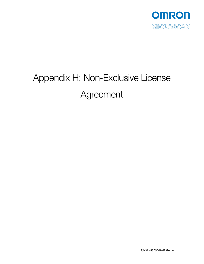

# Appendix H: Non-Exclusive License Agreement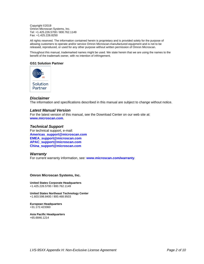Copyright ©2019 Omron Microscan Systems, Inc. Tel: +1.425.226.5700 / 800.762.1149 Fax: +1.425.226.8250

All rights reserved. The information contained herein is proprietary and is provided solely for the purpose of allowing customers to operate and/or service Omron Microscan-manufactured equipment and is not to be released, reproduced, or used for any other purpose without written permission of Omron Microscan.

Throughout this manual, trademarked names might be used. We state herein that we are using the names to the benefit of the trademark owner, with no intention of infringement.

# **GS1 Solution Partner**



# *Disclaimer*

The information and specifications described in this manual are subject to change without notice.

#### *Latest Manual Version*

For the latest version of this manual, see the Download Center on our web site at: **www.microscan.com**.

#### *Technical Support*

For technical support, e-mail: **Americas\_support@microscan.com EMEA\_support@microscan.com APAC\_support@microscan.com China\_support@microscan.com** 

#### *Warranty*

For current warranty information, see: **www.microscan.com/warranty**.

#### **Omron Microscan Systems, Inc.**

**United States Corporate Headquarters**  +1.425.226.5700 / 800.762.1149

**United States Northeast Technology Center**  +1.603.598.8400 / 800.468.9503

**European Headquarters**  +31.172.423360

**Asia Pacific Headquarters**  +65.6846.1214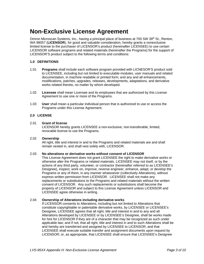# **Non-Exclusive License Agreement**

Omron Microscan Systems, Inc., having a principal place of business at 700 SW 39<sup>th</sup> St., Renton, WA 98057 (**LICENSOR**), for good and valuable consideration, hereby grants a nonexclusive limited license to the purchaser of LICENSOR's product (hereinafter LICENSEE) to use certain LICENSOR software programs and related materials (hereinafter the Programs) for the support of LICENSOR'S product subject to the following terms and conditions:

# **1.0 DEFINITIONS**

- 1.01 **Programs** shall include each software program provided with LICNESOR'S product sold to LICENSEE, including but not limited to executable modules, user manuals and related documentation, in machine readable or printed form; and any and all enhancements, modifications, patches, upgrades, releases, developments, adaptations, and derivative works related thereto, no matter by whom developed.
- 1.02 **Licensee** shall mean Licensee and its employees that are authorized by this License Agreement to use one or more of the Programs.
- 1.03 **User** shall mean a particular individual person that is authorized to use or access the Programs under this License Agreement.

#### **2.0 LICENSE**

# 2.01 **Grant of license**

LICENSOR hereby grants LICENSEE a non-exclusive, non-transferable, limited, revocable license to use the Programs.

#### 2.02 **Ownership**

All right, title and interest in and to the Programs and related materials are and shall remain vested in, and shall vest solely with, LICENSOR.

# 2.03 **No alterations or derivative works without consent of LICENSOR**

This License Agreement does not grant LICENSEE the right to make derivative works or otherwise alter the Programs or related materials. LICENSEE may not itself, or by the actions of any third party, volunteer, or contractor (hereinafter referred to as LICENSEE's Designee), inspect, work on, improve, reverse engineer, enhance, adapt, or develop the Programs or any of them, in any manner whatsoever (collectively Alterations), without express written permission from LICENSOR. LICENSEE shall not make any replacements or substitutions to the Programs and related materials without the written consent of LICENSOR. Any such replacements or substitutions shall become the property of LICENSOR and subject to this License Agreement unless LICENSOR and LICENSEE agree otherwise in writing.

#### 2.04 **Ownership of Alterations including derivative works**

If LICENSOR consents to Alterations, including but not limited to Alterations that constitute copyrightable or patentable derivative works, by LICENSEE or LICENSEE's Designee, LICENSEE agrees that all right, title and interest in and to any and all Alterations developed by LICENSEE or by LICENSEE's Designee, shall be works made for hire for LICENSOR if they are of a character that may be recognized as such under applicable law; and if not, that all right, title and interest in and to such Alterations shall be and hereby are transferred and assigned by LICENSEE to LICENSOR, and that LICENSEE shall execute suitable transfer and assignment documents upon request by LICENSOR; or, as appropriate, that LICENSEE shall ensure that LICENSEE's Designee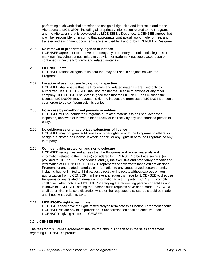performing such work shall transfer and assign all right, title and interest in and to the Alterations to LICENSOR, including all proprietary information related to the Programs and the Alterations that is developed by LICENSEE's Designee. LICENSEE agrees that it will be responsible for ensuring that appropriate contractual, work made for hire, and transfer and assignment documents are executed by it and/or by LICENSEE's Designee.

# 2.05 **No removal of proprietary legends or notices**

LICENSEE agrees not to remove or destroy any proprietary or confidential legends or markings (including but not limited to copyright or trademark notices) placed upon or contained within the Programs and related materials.

# 2.06 **LICENSEE data**

LICENSEE retains all rights to its data that may be used in conjunction with the Programs.

# 2.07 **Location of use; no transfer; right of inspection**

LICENSEE shall ensure that the Programs and related materials are used only by authorized Users. LICENSEE shall not transfer the License to anyone or any other company. If LICENSOR believes in good faith that the LICENSEE has misused the License, LICENSOR may request the right to inspect the premises of LICENSEE or seek court order to do so if permission is denied.

# 2.08 **No access by unauthorized persons or entities**

LICENSEE will not permit the Programs or related materials to be used, accessed, inspected, reviewed or viewed either directly or indirectly by any unauthorized person or entity.

# 2.09 **No sublicenses or unauthorized extensions of license**

LICENSEE may not grant sublicenses or other rights in or to the Programs to others, or assign or transfer the License in whole or part, or any rights in or to the Programs, to any third party.

# 2.10 **Confidentiality; protection and non-disclosure**

LICENSEE recognizes and agrees that the Programs and related materials and information related to them, are (i) considered by LICENSOR to be trade secrets; (ii) provided to LICENSEE in confidence; and (iii) the exclusive and proprietary property and information of LICENSOR. LICENSEE represents and warrants that it will not disclose Programs or any related materials or information to any unauthorized person or entity, including but not limited to third parties, directly or indirectly, without express written authorization from LICENSOR. In the event a request is made for LICENSEE to disclose Programs or any related materials or information to a third party, LICENSEE promptly shall give written notice to LICENSOR identifying the requesting persons or entities and, if known to LICENSEE, stating the reasons such requests have been made. LICENSOR shall determine in its sole discretion whether the requested disclosures should be made, and if not, what action to take.

# 2.11 **LICENSOR's right to terminate**

LICENSOR shall have the right immediately to terminate this License Agreement should LICENSEE violate any of its provisions. Such termination shall be effective upon LICENSOR's giving notice to LICENSEE.

#### **3.0 LICENSEE FEES**

The fees for this License Agreement shall be the amounts specified in the sales agreement regarding LICENSOR's product.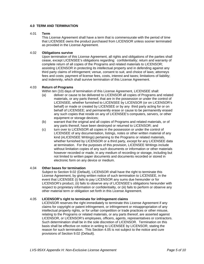# **4.0 TERM AND TERMINATION**

#### 4.01 **Term**

This License Agreement shall have a term that is commensurate with the period of time that LICENSEE owns the product purchased from LICENSOR unless sooner terminated as provided in the License Agreement.

# 4.02 **Obligations survive**

Upon termination of this License Agreement, all rights and obligations of the parties shall cease, except LICENSEE's obligations regarding: confidentiality; return and warranty of complete return of all copies of the Programs and related materials to LICENSOR; assisting LICENSOR in protecting its intellectual property and in defending against any third party claims of infringement; venue, consent to suit, and choice of laws; attorneys fees and costs; payment of license fees, costs, interest and taxes; limitations of liability; and indemnity, which shall survive termination of this License Agreement.

# 4.03 **Return of Programs**

Within ten (10) days of termination of this License Agreement, LICENSEE shall:

- (a) deliver or cause to be delivered to LICENSOR all copies of Programs and related materials, or any parts thereof, that are in the possession or under the control of LICENSEE, whether furnished to LICENSEE by LICENSOR (or on LICENSOR's behalf) or made or created by LICENSEE or by any third party acting for or on behalf of LICENSEE; and permanently erase or cause to be permanently erased any such copies that reside on any of LICENSEE's computers, servers, or other equipment or storage devices;
- (b) warrant that the original and all copies of Programs and related materials, or of any parts thereof, have been destroyed or returned to LICENSOR; and
- (c) turn over to LICENSOR all copies in the possession or under the control of LICENSEE of any documentation, listings, notes or other written material of any kind (ALICENSEE Writings) pertaining to the Programs or related materials, whether furnished by LICENSOR or a third party, except for any LICENSEE data at termination. For the purposes of this provision, LICENSEE Writings include without limitation copies of any such documents or information or other materials however recorded or made, in any medium of recording or storage, including but not limited to written paper documents and documents recorded or stored in electronic form on any device or medium.

#### 4.04 **Other bases for termination**

Subject to Section 9.02 (Default), LICENSOR shall have the right to terminate this License Agreement, by giving written notice of such termination to LICENSEE, in the event that LICENSEE (i) fails to pay LICENSOR any sums due hereunder or for LICENSOR's product, (ii) fails to observe any of LICENSEE's obligations hereunder with respect to proprietary information or confidentiality, or (iii) fails to perform or observe any other material term or obligation set forth in this License Agreement.

#### 4.05 **LICENSOR's right to terminate for infringement claims**

LICENSOR reserves the right immediately to terminate this License Agreement if any claims for copyright or patent infringement, or infringement or misappropriation of any intellectual property rights, or for unfair competition or trade practices or other misuse, relating to the Programs or related materials, or any parts thereof, are asserted against LICENSOR, or LICENSOR's employees, officers, agents, representatives or contractors. Such determination shall be in the sole discretion of LICENSOR. Termination on this basis shall be effective on notice in writing to LICENSEE by LICENSOR, stating the reason for such termination. This Section 4.05 is not subject to the notice and cure provisions of Section 9.02 (Default).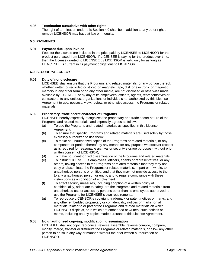# 4.06 **Termination cumulative with other rights**

The right of termination under this Section 4.0 shall be in addition to any other right or remedy LICENSOR may have at law or in equity.

# **5.0 PAYMENTS**

#### 5.01 **Payment due upon invoice**

Fees for the License are included in the price paid by LICENSEE to LICENSOR for the product purchased from LICENSOR. If LICENSEE is paying for the product over time, then the License granted to LICENSEE by LICENSOR is valid only for as long as LIENCESEE is current in its payment obligations to LICNESOR.

#### **6.0 SECURITY/SECRECY**

#### 6.01 **Duty of nondisclosure**

LICENSEE shall ensure that the Programs and related materials, or any portion thereof, whether written or recorded or stored on magnetic tape, disk or electronic or magnetic memory in any other form or on any other media, are not disclosed or otherwise made available by LICENSEE or by any of its employees, officers, agents, representatives or contractors, to any entities, organizations or individuals not authorized by this License Agreement to use, possess, view, review, or otherwise access the Programs or related materials.

#### 6.02 **Proprietary, trade secret character of Programs**

LICENSEE hereby expressly recognizes the proprietary and trade secret nature of the Programs and related materials, and expressly agrees as follows:

- (a) To use the Programs and related materials as specified in this License Agreement.
- (b) To ensure that specific Programs and related materials are used solely by those expressly authorized to use them;
- (c) To make no unauthorized copies of the Programs or related materials, or any component or portion thereof, by any means for any purpose whatsoever (except as is required for reasonable archival or security storage purposes), without prior written consent of LICENSOR;
- (d) To make no unauthorized dissemination of the Programs and related materials;
- (e) To instruct LICENSEE's employees, officers, agents or representatives, or any others, having access to the Programs or related materials that they may not copy or disseminate the Programs or related materials, in part or in whole, to unauthorized persons or entities, and that they may not provide access to them to any unauthorized person or entity; and to require compliance with these instructions as a condition of employment.
- (f) To effect security measures, including adoption of a written policy of confidentiality, adequate to safeguard the Programs and related materials from unauthorized use or access by persons other than its employees authorized to use the Programs for LICENSEE's own requirements.
- (g) To reproduce LICENSOR's copyright, trademark or patent notices or marks, and any other embedded proprietary or confidentiality notices or marks, on all materials related to or part of the Programs and related materials on which LICENSOR displays, or in which are embedded or written, such notices or marks, including on any copies made pursuant to this License Agreement.

#### 6.03 **No unauthorized copying, modification, dissemination**

LICENSEE shall not copy, reproduce, reverse assemble, reverse compile, compare, modify, merge, transfer or distribute the Programs or related materials, or allow any other person to do so in any way or manner, without the prior written authorization of LICENSOR.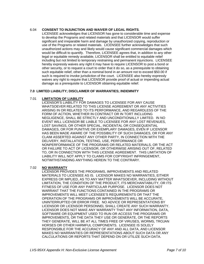# 6.04 **CONSENT TO INJUNCTION AND WAIVER OF LEGAL RIGHTS**.

LICENSEE acknowledges that LICENSOR has gone to considerable time and expense to develop the Programs and related materials and that LICENSOR would suffer significant and irreparable harm and damage by unauthorized copying, reproduction or use of the Programs or related materials. LICENSEE further acknowledges that such unauthorized actions may and likely would cause significant commercial damages which would be difficult to quantify. Therefore, LICENSEE agrees that, in addition to any other legal or equitable remedy available, LICENSOR shall be entitled to equitable relief including but not limited to temporary restraining and permanent injunctions. LICENSEE hereby expressly waives any right it may have to require LICENSOR to post a bond or other security, or to request a court to order that it do so, as a prerequisite to obtaining such equitable relief, other than a nominal bond in an amount not to exceed \$50.00 if such is required to invoke jurisdiction of the court. LICENSEE also hereby expressly waives any right to require that LICENSOR provide proof of actual or impending actual damage as a prerequisite to LICENSOR obtaining equitable relief.

# **7.0 LIMITED LIABILITY; DISCLAIMER OF WARRANTIES; INDEMNITY**

# 7.01 **LIMITATION OF LIABILITY**

LICENSOR'S LIABILITY FOR DAMAGES TO LICENSEE FOR ANY CAUSE WHATSOEVER RELATED TO THIS LICENSE AGREEMENT OR ANY ACTIVITIES ARISING IN OR RELATED TO ITS PERFORMANCE, AND REGARDLESS OF THE FORM OF ACTION, WHETHER IN CONTRACT OR IN TORT INCLUDING NEGLIGENCE, SHALL BE STRICTLY AND UNCONDITIONALLY LIMITED. IN NO EVENT WILL LICENSOR BE LIABLE TO LICENSEE FOR ANY LOST REVENUES, LOST SAVINGS, OR OTHER SPECIAL, INCIDENTAL OR CONSEQUENTIAL DAMAGES, OR FOR PUNITIVE OR EXEMPLARY DAMAGES, EVEN IF LICENSOR HAS BEEN MADE AWARE OF THE POSSIBILITY OF SUCH DAMAGES, OR FOR ANY CLAIM ASSERTED AGAINST ANY OTHER PARTY, IN CONNECTION WITH THE DELIVERY, INSTALLATION, TESTING, USE, PERFORMANCE OR NONPERFORMANCE OF THE PROGRAMS OR RELATED MATERIALS, OR THE ACT OR FAILURE TO ACT OF LICENSOR, OR OTHERWISE ARISING OUT OF, RELATED TO, OR IN CONNECTION WITH THIS LICENSE AGREEMENT. THIS LIMITATION OF LIABILITY WILL NOT APPLY TO CLAIMS FOR COPYRIGHT INFRINGEMENT, NOTWITHSTANDING ANYTHING HEREIN TO THE CONTRARY.

# 7.02 **NO WARRANTY**

LICENSOR PROVIDES THE PROGRAMS, IMPROVEMENTS AND RELATED MATERIALS TO LICENSEE AS IS. LICENSOR MAKES NO WARRANTIES, EITHER EXPRESS OR IMPLIED, AS TO ANY MATTER WHATSOEVER, INCLUDING WITHOUT LIMITATION, THE CONDITION OF THE PRODUCT, ITS MERCHANTABILITY, OR ITS FITNESS OF USE FOR ANY PARTICULAR PURPOSE. LICENSOR DOES NOT WARRANT THAT THE FUNCTIONS CONTAINED IN THE PROGRAMS OR IMPROVEMENTS WILL MEET LICENSEE'S REQUIREMENTS OR THAT THE OPERATION OF THE PROGRAMS OR IMPROVEMENTS WILL BE ACCURATE, UNINTERRUPTED OR ERROR FREE. NO ADVICE OR REPRESENTATIONS BY LICENSOR OR LICENSOR PERSONNEL SHALL CREATE ANY SUCH WARRANTY. LICENSOR DOES NOT MAKE ANY WARRANTY THAT ANY INFORMATION, DATA, SOFTWARE OR EQUIPMENT USED TO RUN OR ACCESS THE PROGRAMS OR IMPROVEMENTS, OR THE DATA THEY USE OR GENERATE, OR THE REPORTS THEY GENERATE, WILL BE AT ALL TIMES FREE OF VIRUSES, WORMS, TROJAN HORSES OR OTHER HARMFUL COMPONENTS. LICENSEE IS SOLELY RESPONSIBLE FOR THE ACCURACY OF ANY AND ALL DATA, AND LICENSOR MAKES NO WARRANTIES OR REPRESENTATIONS ABOUT SUCH DATA OR ANY CALCULATIONS OR REPORTS THAT DEPEND ON OR UTILIZE SUCH DATA.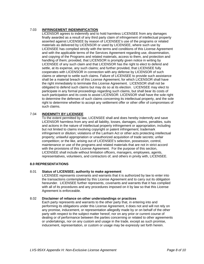# 7.03 **INFRINGEMENT INDEMNIFICATION**

LICENSOR agrees to indemnify and to hold harmless LICENSEE from any damages finally awarded as a result of any third party claim of infringement of intellectual property asserted against LICENSEE by reason of LICENSEE's use of the programs or related materials as delivered by LICENSOR or used by LICENSEE, where such use by LICENSEE has complied strictly with the terms and conditions of this License Agreement and with the applicable terms of the Services Agreement regarding use, dissemination, and copying of the Programs and related materials, access to them, and protection and handling of them; provided, that LICENSOR is promptly given notice in writing by LICENSEE of any such claim and that LICENSOR has the right to elect to defend and settle, at its expense, any such claims; and further provided, that LICENSEE fully cooperates with LICENSOR in connection with any defense by LICENSOR of such claims or attempt to settle such claims. Failure of LICENSEE to provide such assistance shall be a material breach of this License Agreement, for which LICENSOR shall have the right immediately to terminate this License Agreement. LICENSOR shall not be obligated to defend such claims but may do so at its election. LICENSEE may elect to participate in any formal proceedings regarding such claims, but shall bear its costs of such participation and its costs to assist LICENSOR. LICENSOR shall have the sole right to determine the defenses of such claims concerning its intellectual property, and the sole right to determine whether to accept any settlement offer or other offer of compromises of such claims.

# 7.04 **INDEMNITY BY LICENSEE**

To the extent permitted by law, LICENSEE shall and does hereby indemnify and save LICENSOR harmless from any and all liability, losses, damages, claims, penalties, suits and actions in the nature of intellectual property infringement or appropriation, including but not limited to claims involving copyright or patent infringement; trademark infringement or dilution; violations of the Lanham Act or other acts protecting intellectual property; unlawful appropriation or unauthorized acquisition of trade secrets; unfair competition; or the like, arising out of LICENSEE's selection, possession, control, maintenance or use of the programs and related materials that are not in strict accord with the provisions of this License Agreement. For the purpose of this section, LICENSEE shall include without limitation officers, managers, employees, agents, representatives, volunteers, and contractors of, and others in privity with, LICENSEE.

#### **8.0 REPRESENTATIONS**

#### 8.01 **Status of LICENSEE; authority to make agreement**

LICENSEE represents covenants and warrants that it is authorized by law to enter into the transactions contemplated by this License Agreement and to carry out its obligation hereunder. LICENSEE further represents, covenants and warrants that it has complied with all of its procedures and any procedures imposed on it by law so that this License Agreement is enforceable.

#### 8.02 **Disclaimer of reliance on other understandings or practices**

Each party represents and warrants to the other party that, in entering into and performing its obligations under this License Agreement, it does not and will not rely on any promise, inducement, or representation allegedly made by or on behalf of the other party with respect to the subject matter hereof, nor on any prior or current course of dealing or of performance between the parties concerning or related to other agreements or undertakings, nor on any custom and usage in the trade, except as such promise, inducement, representation, or custom or usage may be expressly set forth herein.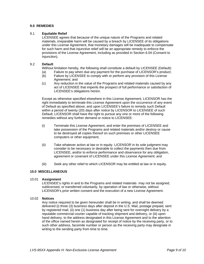# **9.0 REMEDIES**

### 9.1 **Equitable Relief**

LICENSEE agrees that because of the unique nature of the Programs and related materials, irreparable harm will be caused by a breach by LICENSEE of its obligations under this License Agreement, that monetary damages will be inadequate to compensate for such harm and that injunctive relief will be an appropriate remedy to enforce the provisions of the License Agreement, including as provided in Section 6.04 (Consent to Injunction).

### 9.2 **Default**

Without limitation hereby, the following shall constitute a default by LICENSEE (Default):

- (a) Failure to pay when due any payment for the purchase of LICENSOR's product;
- (b) Failure by LICENSEE to comply with or perform any provision of this License Agreement; and
- (c) Any reduction in the value of the Programs and related materials caused by any act of LICENSEE that imperils the prospect of full performance or satisfaction of LICENSEE's obligations herein.

Except as otherwise specified elsewhere in this License Agreement, LICENSOR has the right immediately to terminate this License Agreement upon the occurrence of any event of Default as specified above, and upon LICENSEE's failure to remedy such Default within a period of twenty (20) days after notice by LICENSOR to LICENSEE of such Default, LICENSOR shall have the right to pursue any one or more of the following remedies without any further demand or notice to LICENSEE:

- (i) Terminate this License Agreement, and enter the premises of LICENSEE and take possession of the Programs and related materials and/or destroy or cause to be destroyed all copies thereof on such premises or other LICENSEE computers or other equipment;
- (ii) Take whatever action at law or in equity LICENSOR in its sole judgment may consider to be necessary or desirable to collect the payments then due from LICENSEE, and/or to enforce performance and observance for any obligation, agreement or covenant of LICENSEE under this License Agreement; and
- (iii) Seek any other relief to which LICENSOR may be entitled at law or in equity.

#### **10.0 MISCELLANEOUS**

#### 10.01 **Assignment**

LICENSEE's rights in and to the Programs and related materials may not be assigned, sublicensed, or transferred voluntarily, by operation of law or otherwise, without LICENSOR's prior written consent and the execution of a new License Agreement.

## 10.02 **Notices**

Any notice required to be given hereunder shall be in writing, and shall be deemed delivered (i) three (3) business days after deposit in the U.S. Mail, postage prepaid, sent by registered mail, (ii) one (1) business day after being sent for overnight delivery by a reputable commercial courier capable of tracking shipment and delivery, or (iii) upon hand delivery, to the address designated in this License Agreement and to the attention of the office named herein as designated for receipt of notice by the receiving party, or to such other address, facsimile number or person as the receiving party may designate in writing to the sending party from time to time.